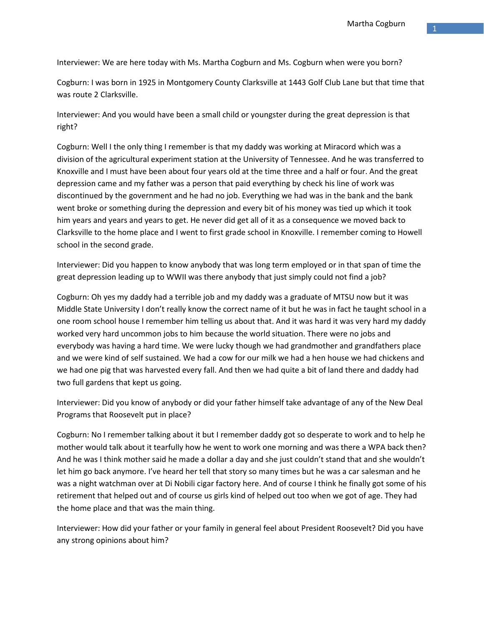Interviewer: We are here today with Ms. Martha Cogburn and Ms. Cogburn when were you born?

Cogburn: I was born in 1925 in Montgomery County Clarksville at 1443 Golf Club Lane but that time that was route 2 Clarksville.

Interviewer: And you would have been a small child or youngster during the great depression is that right?

Cogburn: Well I the only thing I remember is that my daddy was working at Miracord which was a division of the agricultural experiment station at the University of Tennessee. And he was transferred to Knoxville and I must have been about four years old at the time three and a half or four. And the great depression came and my father was a person that paid everything by check his line of work was discontinued by the government and he had no job. Everything we had was in the bank and the bank went broke or something during the depression and every bit of his money was tied up which it took him years and years and years to get. He never did get all of it as a consequence we moved back to Clarksville to the home place and I went to first grade school in Knoxville. I remember coming to Howell school in the second grade.

Interviewer: Did you happen to know anybody that was long term employed or in that span of time the great depression leading up to WWII was there anybody that just simply could not find a job?

Cogburn: Oh yes my daddy had a terrible job and my daddy was a graduate of MTSU now but it was Middle State University I don't really know the correct name of it but he was in fact he taught school in a one room school house I remember him telling us about that. And it was hard it was very hard my daddy worked very hard uncommon jobs to him because the world situation. There were no jobs and everybody was having a hard time. We were lucky though we had grandmother and grandfathers place and we were kind of self sustained. We had a cow for our milk we had a hen house we had chickens and we had one pig that was harvested every fall. And then we had quite a bit of land there and daddy had two full gardens that kept us going.

Interviewer: Did you know of anybody or did your father himself take advantage of any of the New Deal Programs that Roosevelt put in place?

Cogburn: No I remember talking about it but I remember daddy got so desperate to work and to help he mother would talk about it tearfully how he went to work one morning and was there a WPA back then? And he was I think mother said he made a dollar a day and she just couldn't stand that and she wouldn't let him go back anymore. I've heard her tell that story so many times but he was a car salesman and he was a night watchman over at Di Nobili cigar factory here. And of course I think he finally got some of his retirement that helped out and of course us girls kind of helped out too when we got of age. They had the home place and that was the main thing.

Interviewer: How did your father or your family in general feel about President Roosevelt? Did you have any strong opinions about him?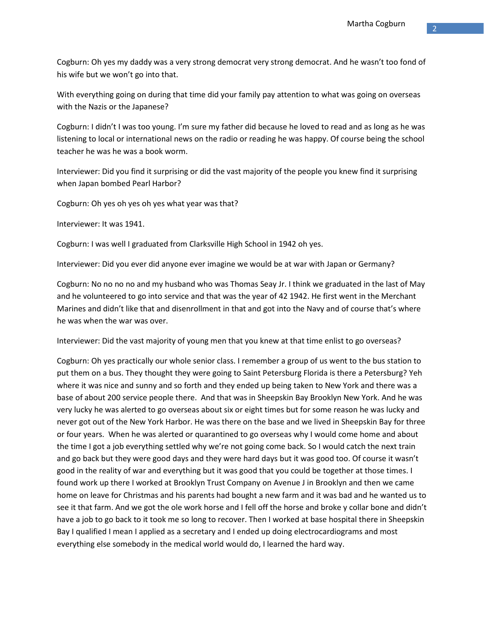Cogburn: Oh yes my daddy was a very strong democrat very strong democrat. And he wasn't too fond of his wife but we won't go into that.

With everything going on during that time did your family pay attention to what was going on overseas with the Nazis or the Japanese?

Cogburn: I didn't I was too young. I'm sure my father did because he loved to read and as long as he was listening to local or international news on the radio or reading he was happy. Of course being the school teacher he was he was a book worm.

Interviewer: Did you find it surprising or did the vast majority of the people you knew find it surprising when Japan bombed Pearl Harbor?

Cogburn: Oh yes oh yes oh yes what year was that?

Interviewer: It was 1941.

Cogburn: I was well I graduated from Clarksville High School in 1942 oh yes.

Interviewer: Did you ever did anyone ever imagine we would be at war with Japan or Germany?

Cogburn: No no no no and my husband who was Thomas Seay Jr. I think we graduated in the last of May and he volunteered to go into service and that was the year of 42 1942. He first went in the Merchant Marines and didn't like that and disenrollment in that and got into the Navy and of course that's where he was when the war was over.

Interviewer: Did the vast majority of young men that you knew at that time enlist to go overseas?

Cogburn: Oh yes practically our whole senior class. I remember a group of us went to the bus station to put them on a bus. They thought they were going to Saint Petersburg Florida is there a Petersburg? Yeh where it was nice and sunny and so forth and they ended up being taken to New York and there was a base of about 200 service people there. And that was in Sheepskin Bay Brooklyn New York. And he was very lucky he was alerted to go overseas about six or eight times but for some reason he was lucky and never got out of the New York Harbor. He was there on the base and we lived in Sheepskin Bay for three or four years. When he was alerted or quarantined to go overseas why I would come home and about the time I got a job everything settled why we're not going come back. So I would catch the next train and go back but they were good days and they were hard days but it was good too. Of course it wasn't good in the reality of war and everything but it was good that you could be together at those times. I found work up there I worked at Brooklyn Trust Company on Avenue J in Brooklyn and then we came home on leave for Christmas and his parents had bought a new farm and it was bad and he wanted us to see it that farm. And we got the ole work horse and I fell off the horse and broke y collar bone and didn't have a job to go back to it took me so long to recover. Then I worked at base hospital there in Sheepskin Bay I qualified I mean I applied as a secretary and I ended up doing electrocardiograms and most everything else somebody in the medical world would do, I learned the hard way.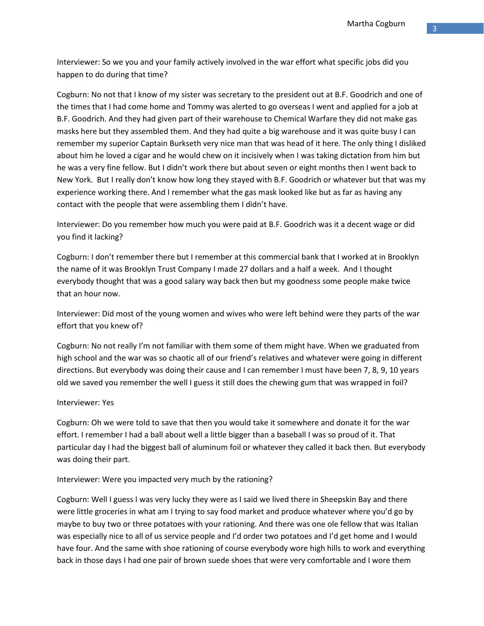Interviewer: So we you and your family actively involved in the war effort what specific jobs did you happen to do during that time?

Cogburn: No not that I know of my sister was secretary to the president out at B.F. Goodrich and one of the times that I had come home and Tommy was alerted to go overseas I went and applied for a job at B.F. Goodrich. And they had given part of their warehouse to Chemical Warfare they did not make gas masks here but they assembled them. And they had quite a big warehouse and it was quite busy I can remember my superior Captain Burkseth very nice man that was head of it here. The only thing I disliked about him he loved a cigar and he would chew on it incisively when I was taking dictation from him but he was a very fine fellow. But I didn't work there but about seven or eight months then I went back to New York. But I really don't know how long they stayed with B.F. Goodrich or whatever but that was my experience working there. And I remember what the gas mask looked like but as far as having any contact with the people that were assembling them I didn't have.

Interviewer: Do you remember how much you were paid at B.F. Goodrich was it a decent wage or did you find it lacking?

Cogburn: I don't remember there but I remember at this commercial bank that I worked at in Brooklyn the name of it was Brooklyn Trust Company I made 27 dollars and a half a week. And I thought everybody thought that was a good salary way back then but my goodness some people make twice that an hour now.

Interviewer: Did most of the young women and wives who were left behind were they parts of the war effort that you knew of?

Cogburn: No not really I'm not familiar with them some of them might have. When we graduated from high school and the war was so chaotic all of our friend's relatives and whatever were going in different directions. But everybody was doing their cause and I can remember I must have been 7, 8, 9, 10 years old we saved you remember the well I guess it still does the chewing gum that was wrapped in foil?

# Interviewer: Yes

Cogburn: Oh we were told to save that then you would take it somewhere and donate it for the war effort. I remember I had a ball about well a little bigger than a baseball I was so proud of it. That particular day I had the biggest ball of aluminum foil or whatever they called it back then. But everybody was doing their part.

# Interviewer: Were you impacted very much by the rationing?

Cogburn: Well I guess I was very lucky they were as I said we lived there in Sheepskin Bay and there were little groceries in what am I trying to say food market and produce whatever where you'd go by maybe to buy two or three potatoes with your rationing. And there was one ole fellow that was Italian was especially nice to all of us service people and I'd order two potatoes and I'd get home and I would have four. And the same with shoe rationing of course everybody wore high hills to work and everything back in those days I had one pair of brown suede shoes that were very comfortable and I wore them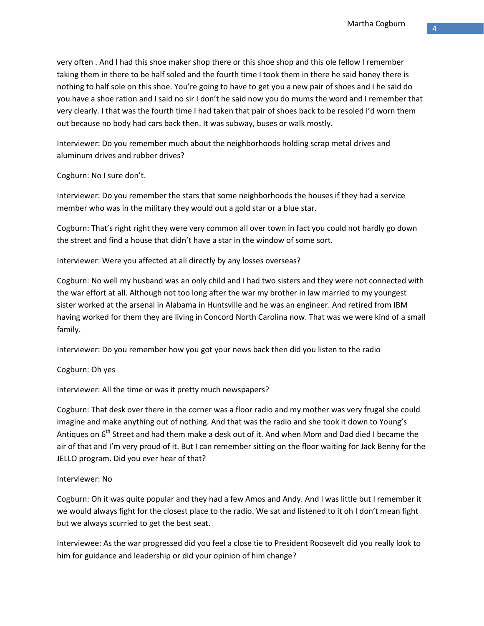very often . And I had this shoe maker shop there or this shoe shop and this ole fellow I remember taking them in there to be half soled and the fourth time I took them in there he said honey there is nothing to half sole on this shoe. You're going to have to get you a new pair of shoes and I he said do you have a shoe ration and I said no sir I don't he said now you do mums the word and I remember that very clearly. I that was the fourth time I had taken that pair of shoes back to be resoled I'd worn them out because no body had cars back then. It was subway, buses or walk mostly.

Interviewer: Do you remember much about the neighborhoods holding scrap metal drives and aluminum drives and rubber drives?

Cogburn: No I sure don't.

Interviewer: Do you remember the stars that some neighborhoods the houses if they had a service member who was in the military they would out a gold star or a blue star.

Cogburn: That's right right they were very common all over town in fact you could not hardly go down the street and find a house that didn't have a star in the window of some sort.

Interviewer: Were you affected at all directly by any losses overseas?

Cogburn: No well my husband was an only child and I had two sisters and they were not connected with the war effort at all. Although not too long after the war my brother in law married to my youngest sister worked at the arsenal in Alabama in Huntsville and he was an engineer. And retired from IBM having worked for them they are living in Concord North Carolina now. That was we were kind of a small family.

Interviewer: Do you remember how you got your news back then did you listen to the radio

Cogburn: Oh yes

Interviewer: All the time or was it pretty much newspapers?

Cogburn: That desk over there in the corner was a floor radio and my mother was very frugal she could imagine and make anything out of nothing. And that was the radio and she took it down to Young's Antiques on 6<sup>th</sup> Street and had them make a desk out of it. And when Mom and Dad died I became the air of that and I'm very proud of it. But I can remember sitting on the floor waiting for Jack Benny for the JELLO program. Did you ever hear of that?

# Interviewer: No

Cogburn: Oh it was quite popular and they had a few Amos and Andy. And I was little but I remember it we would always fight for the closest place to the radio. We sat and listened to it oh I don't mean fight but we always scurried to get the best seat.

Interviewee: As the war progressed did you feel a close tie to President Roosevelt did you really look to him for guidance and leadership or did your opinion of him change?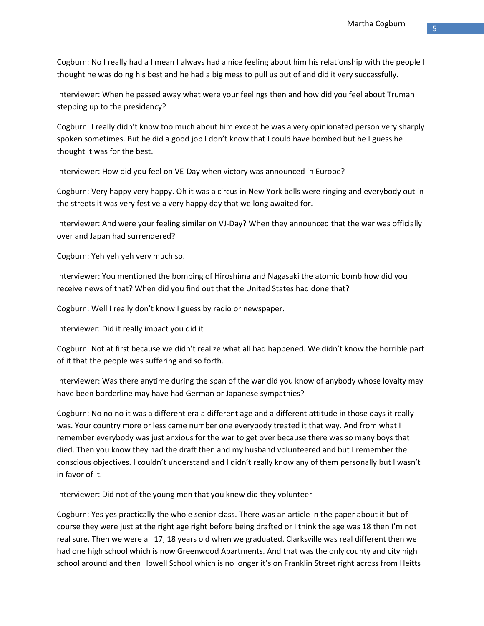Cogburn: No I really had a I mean I always had a nice feeling about him his relationship with the people I thought he was doing his best and he had a big mess to pull us out of and did it very successfully.

Interviewer: When he passed away what were your feelings then and how did you feel about Truman stepping up to the presidency?

Cogburn: I really didn't know too much about him except he was a very opinionated person very sharply spoken sometimes. But he did a good job I don't know that I could have bombed but he I guess he thought it was for the best.

Interviewer: How did you feel on VE-Day when victory was announced in Europe?

Cogburn: Very happy very happy. Oh it was a circus in New York bells were ringing and everybody out in the streets it was very festive a very happy day that we long awaited for.

Interviewer: And were your feeling similar on VJ-Day? When they announced that the war was officially over and Japan had surrendered?

Cogburn: Yeh yeh yeh very much so.

Interviewer: You mentioned the bombing of Hiroshima and Nagasaki the atomic bomb how did you receive news of that? When did you find out that the United States had done that?

Cogburn: Well I really don't know I guess by radio or newspaper.

Interviewer: Did it really impact you did it

Cogburn: Not at first because we didn't realize what all had happened. We didn't know the horrible part of it that the people was suffering and so forth.

Interviewer: Was there anytime during the span of the war did you know of anybody whose loyalty may have been borderline may have had German or Japanese sympathies?

Cogburn: No no no it was a different era a different age and a different attitude in those days it really was. Your country more or less came number one everybody treated it that way. And from what I remember everybody was just anxious for the war to get over because there was so many boys that died. Then you know they had the draft then and my husband volunteered and but I remember the conscious objectives. I couldn't understand and I didn't really know any of them personally but I wasn't in favor of it.

Interviewer: Did not of the young men that you knew did they volunteer

Cogburn: Yes yes practically the whole senior class. There was an article in the paper about it but of course they were just at the right age right before being drafted or I think the age was 18 then I'm not real sure. Then we were all 17, 18 years old when we graduated. Clarksville was real different then we had one high school which is now Greenwood Apartments. And that was the only county and city high school around and then Howell School which is no longer it's on Franklin Street right across from Heitts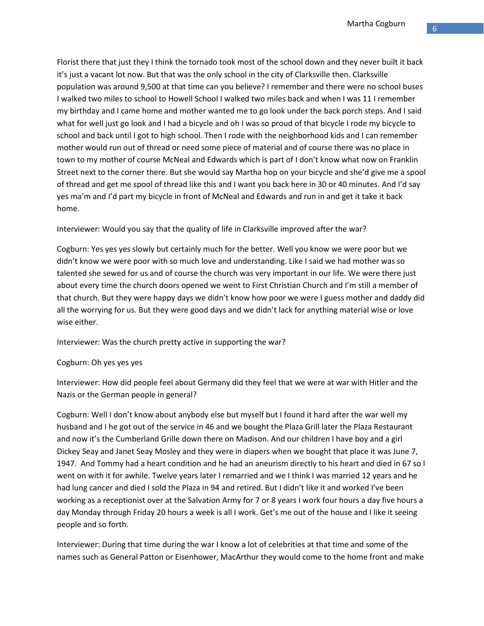Florist there that just they I think the tornado took most of the school down and they never built it back it's just a vacant lot now. But that was the only school in the city of Clarksville then. Clarksville population was around 9,500 at that time can you believe? I remember and there were no school buses I walked two miles to school to Howell School I walked two miles back and when I was 11 I remember my birthday and I came home and mother wanted me to go look under the back porch steps. And I said what for well just go look and I had a bicycle and oh I was so proud of that bicycle I rode my bicycle to school and back until I got to high school. Then I rode with the neighborhood kids and I can remember mother would run out of thread or need some piece of material and of course there was no place in town to my mother of course McNeal and Edwards which is part of I don't know what now on Franklin Street next to the corner there. But she would say Martha hop on your bicycle and she'd give me a spool of thread and get me spool of thread like this and I want you back here in 30 or 40 minutes. And I'd say yes ma'm and I'd part my bicycle in front of McNeal and Edwards and run in and get it take it back home.

Interviewer: Would you say that the quality of life in Clarksville improved after the war?

Cogburn: Yes yes yes slowly but certainly much for the better. Well you know we were poor but we didn't know we were poor with so much love and understanding. Like I said we had mother was so talented she sewed for us and of course the church was very important in our life. We were there just about every time the church doors opened we went to First Christian Church and I'm still a member of that church. But they were happy days we didn't know how poor we were I guess mother and daddy did all the worrying for us. But they were good days and we didn't lack for anything material wise or love wise either.

Interviewer: Was the church pretty active in supporting the war?

# Cogburn: Oh yes yes yes

Interviewer: How did people feel about Germany did they feel that we were at war with Hitler and the Nazis or the German people in general?

Cogburn: Well I don't know about anybody else but myself but I found it hard after the war well my husband and I he got out of the service in 46 and we bought the Plaza Grill later the Plaza Restaurant and now it's the Cumberland Grille down there on Madison. And our children I have boy and a girl Dickey Seay and Janet Seay Mosley and they were in diapers when we bought that place it was June 7, 1947. And Tommy had a heart condition and he had an aneurism directly to his heart and died in 67 so I went on with it for awhile. Twelve years later I remarried and we I think I was married 12 years and he had lung cancer and died I sold the Plaza in 94 and retired. But I didn't like it and worked I've been working as a receptionist over at the Salvation Army for 7 or 8 years I work four hours a day five hours a day Monday through Friday 20 hours a week is all I work. Get's me out of the house and I like it seeing people and so forth.

Interviewer: During that time during the war I know a lot of celebrities at that time and some of the names such as General Patton or Eisenhower, MacArthur they would come to the home front and make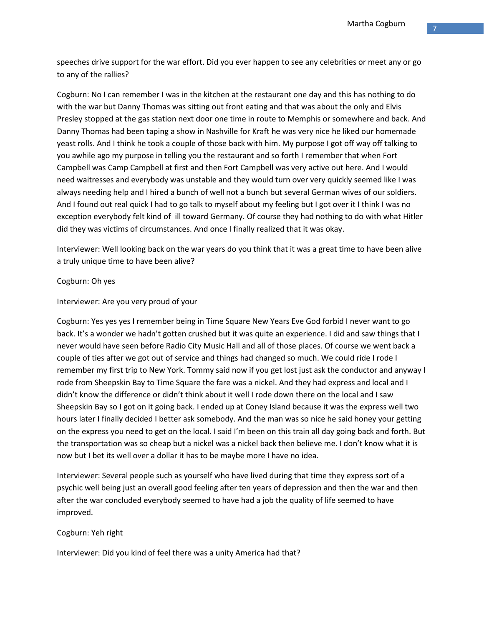speeches drive support for the war effort. Did you ever happen to see any celebrities or meet any or go to any of the rallies?

Cogburn: No I can remember I was in the kitchen at the restaurant one day and this has nothing to do with the war but Danny Thomas was sitting out front eating and that was about the only and Elvis Presley stopped at the gas station next door one time in route to Memphis or somewhere and back. And Danny Thomas had been taping a show in Nashville for Kraft he was very nice he liked our homemade yeast rolls. And I think he took a couple of those back with him. My purpose I got off way off talking to you awhile ago my purpose in telling you the restaurant and so forth I remember that when Fort Campbell was Camp Campbell at first and then Fort Campbell was very active out here. And I would need waitresses and everybody was unstable and they would turn over very quickly seemed like I was always needing help and I hired a bunch of well not a bunch but several German wives of our soldiers. And I found out real quick I had to go talk to myself about my feeling but I got over it I think I was no exception everybody felt kind of ill toward Germany. Of course they had nothing to do with what Hitler did they was victims of circumstances. And once I finally realized that it was okay.

Interviewer: Well looking back on the war years do you think that it was a great time to have been alive a truly unique time to have been alive?

## Cogburn: Oh yes

## Interviewer: Are you very proud of your

Cogburn: Yes yes yes I remember being in Time Square New Years Eve God forbid I never want to go back. It's a wonder we hadn't gotten crushed but it was quite an experience. I did and saw things that I never would have seen before Radio City Music Hall and all of those places. Of course we went back a couple of ties after we got out of service and things had changed so much. We could ride I rode I remember my first trip to New York. Tommy said now if you get lost just ask the conductor and anyway I rode from Sheepskin Bay to Time Square the fare was a nickel. And they had express and local and I didn't know the difference or didn't think about it well I rode down there on the local and I saw Sheepskin Bay so I got on it going back. I ended up at Coney Island because it was the express well two hours later I finally decided I better ask somebody. And the man was so nice he said honey your getting on the express you need to get on the local. I said I'm been on this train all day going back and forth. But the transportation was so cheap but a nickel was a nickel back then believe me. I don't know what it is now but I bet its well over a dollar it has to be maybe more I have no idea.

Interviewer: Several people such as yourself who have lived during that time they express sort of a psychic well being just an overall good feeling after ten years of depression and then the war and then after the war concluded everybody seemed to have had a job the quality of life seemed to have improved.

# Cogburn: Yeh right

Interviewer: Did you kind of feel there was a unity America had that?